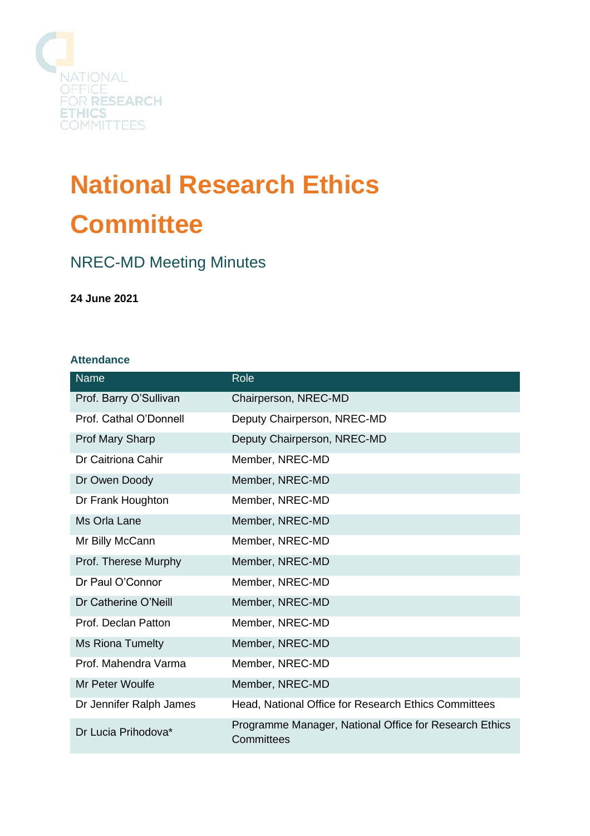

# **National Research Ethics Committee**

# NREC-MD Meeting Minutes

**24 June 2021**

# **Attendance**

| Name                    | Role                                                                 |
|-------------------------|----------------------------------------------------------------------|
| Prof. Barry O'Sullivan  | Chairperson, NREC-MD                                                 |
| Prof. Cathal O'Donnell  | Deputy Chairperson, NREC-MD                                          |
| Prof Mary Sharp         | Deputy Chairperson, NREC-MD                                          |
| Dr Caitriona Cahir      | Member, NREC-MD                                                      |
| Dr Owen Doody           | Member, NREC-MD                                                      |
| Dr Frank Houghton       | Member, NREC-MD                                                      |
| Ms Orla Lane            | Member, NREC-MD                                                      |
| Mr Billy McCann         | Member, NREC-MD                                                      |
| Prof. Therese Murphy    | Member, NREC-MD                                                      |
| Dr Paul O'Connor        | Member, NREC-MD                                                      |
| Dr Catherine O'Neill    | Member, NREC-MD                                                      |
| Prof. Declan Patton     | Member, NREC-MD                                                      |
| <b>Ms Riona Tumelty</b> | Member, NREC-MD                                                      |
| Prof. Mahendra Varma    | Member, NREC-MD                                                      |
| Mr Peter Woulfe         | Member, NREC-MD                                                      |
| Dr Jennifer Ralph James | Head, National Office for Research Ethics Committees                 |
| Dr Lucia Prihodova*     | Programme Manager, National Office for Research Ethics<br>Committees |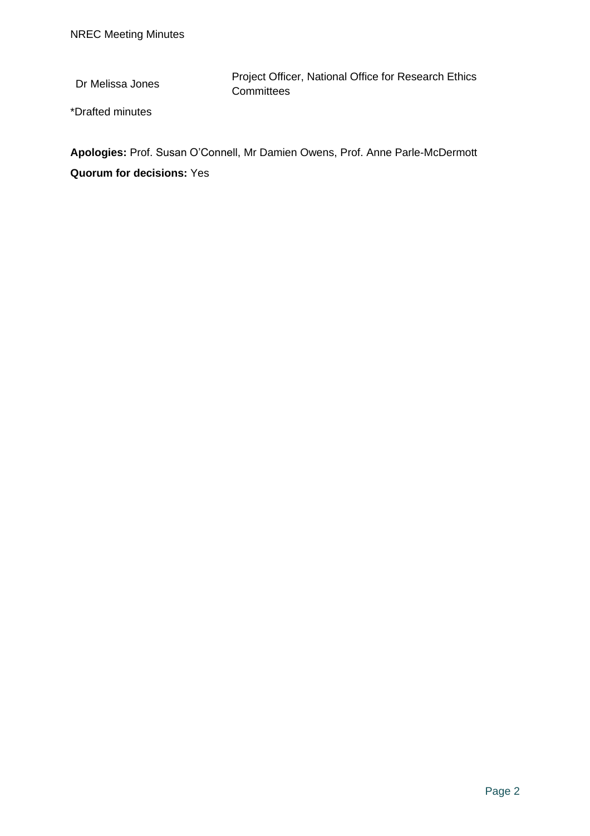Dr Melissa Jones Project Officer, National Office for Research Ethics **Committees** 

\*Drafted minutes

**Apologies:** Prof. Susan O'Connell, Mr Damien Owens, Prof. Anne Parle-McDermott **Quorum for decisions:** Yes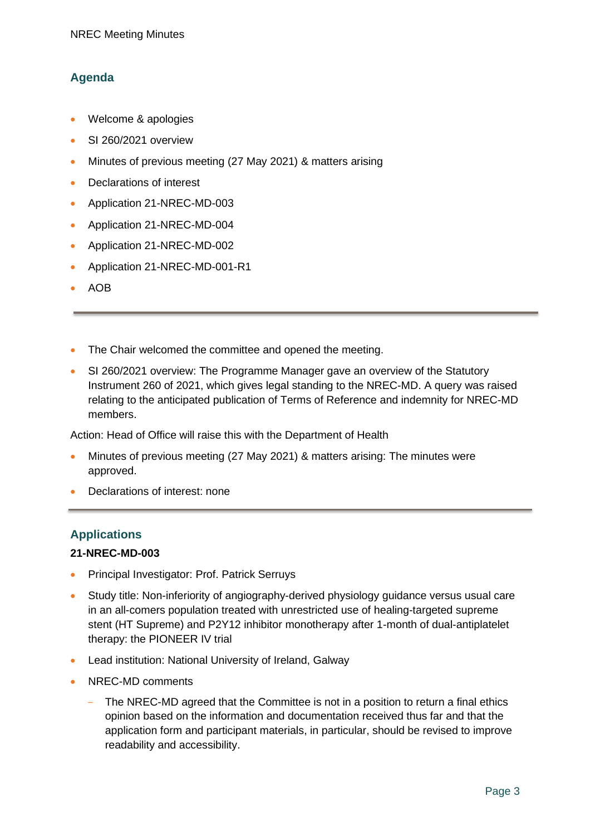# **Agenda**

- Welcome & apologies
- SI 260/2021 overview
- Minutes of previous meeting (27 May 2021) & matters arising
- Declarations of interest
- Application 21-NREC-MD-003
- Application 21-NREC-MD-004
- Application 21-NREC-MD-002
- Application 21-NREC-MD-001-R1
- AOB
- The Chair welcomed the committee and opened the meeting.
- SI 260/2021 overview: The Programme Manager gave an overview of the Statutory Instrument 260 of 2021, which gives legal standing to the NREC-MD. A query was raised relating to the anticipated publication of Terms of Reference and indemnity for NREC-MD members.

Action: Head of Office will raise this with the Department of Health

- Minutes of previous meeting (27 May 2021) & matters arising: The minutes were approved.
- Declarations of interest: none

# **Applications**

#### **21-NREC-MD-003**

- Principal Investigator: Prof. Patrick Serruys
- Study title: Non-inferiority of angiography-derived physiology guidance versus usual care in an all-comers population treated with unrestricted use of healing-targeted supreme stent (HT Supreme) and P2Y12 inhibitor monotherapy after 1-month of dual-antiplatelet therapy: the PIONEER IV trial
- Lead institution: National University of Ireland, Galway
- NREC-MD comments
	- The NREC-MD agreed that the Committee is not in a position to return a final ethics opinion based on the information and documentation received thus far and that the application form and participant materials, in particular, should be revised to improve readability and accessibility.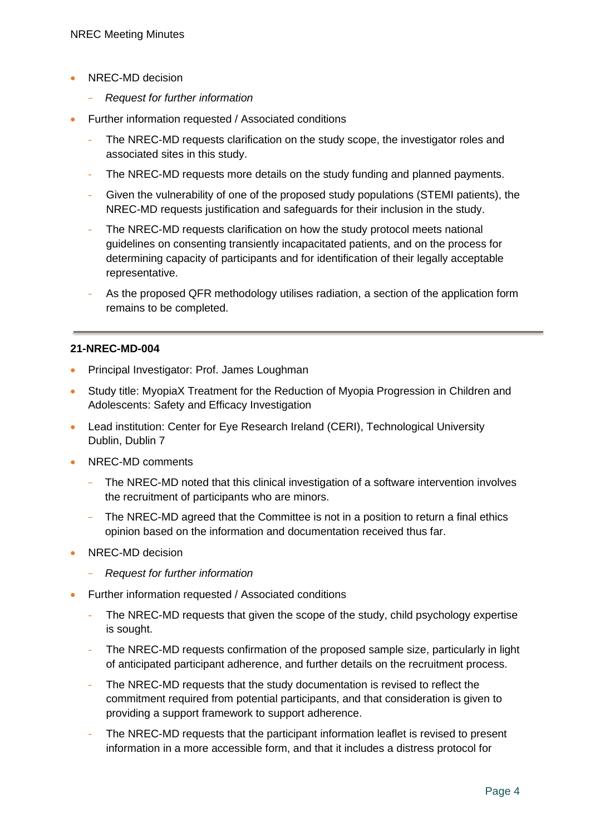- NREC-MD decision
	- *Request for further information*
- Further information requested / Associated conditions
	- The NREC-MD requests clarification on the study scope, the investigator roles and associated sites in this study.
	- The NREC-MD requests more details on the study funding and planned payments.
	- Given the vulnerability of one of the proposed study populations (STEMI patients), the NREC-MD requests justification and safeguards for their inclusion in the study.
	- The NREC-MD requests clarification on how the study protocol meets national guidelines on consenting transiently incapacitated patients, and on the process for determining capacity of participants and for identification of their legally acceptable representative.
	- As the proposed QFR methodology utilises radiation, a section of the application form remains to be completed.

## **21-NREC-MD-004**

- Principal Investigator: Prof. James Loughman
- Study title: MyopiaX Treatment for the Reduction of Myopia Progression in Children and Adolescents: Safety and Efficacy Investigation
- Lead institution: Center for Eye Research Ireland (CERI), Technological University Dublin, Dublin 7
- NREC-MD comments
	- The NREC-MD noted that this clinical investigation of a software intervention involves the recruitment of participants who are minors.
	- The NREC-MD agreed that the Committee is not in a position to return a final ethics opinion based on the information and documentation received thus far.
- NREC-MD decision
	- *Request for further information*
- Further information requested / Associated conditions
	- The NREC-MD requests that given the scope of the study, child psychology expertise is sought.
	- The NREC-MD requests confirmation of the proposed sample size, particularly in light of anticipated participant adherence, and further details on the recruitment process.
	- The NREC-MD requests that the study documentation is revised to reflect the commitment required from potential participants, and that consideration is given to providing a support framework to support adherence.
	- The NREC-MD requests that the participant information leaflet is revised to present information in a more accessible form, and that it includes a distress protocol for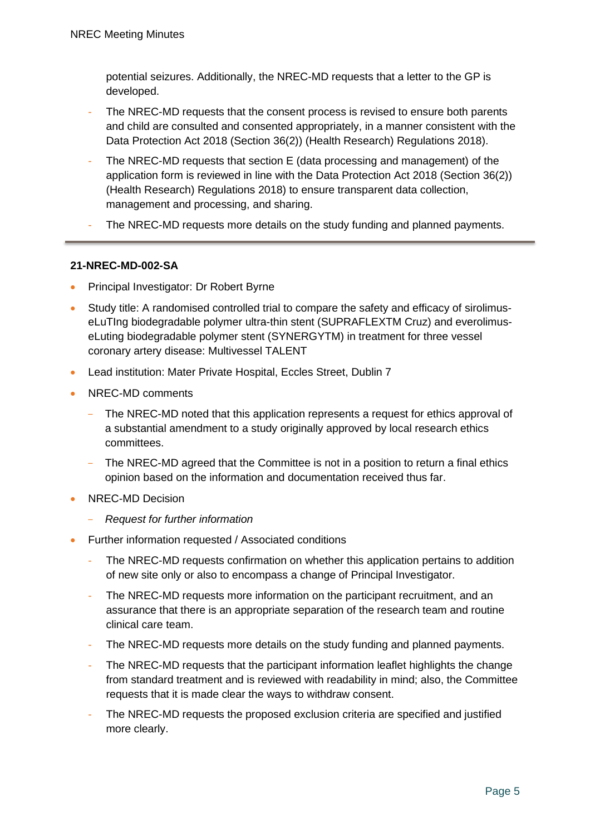potential seizures. Additionally, the NREC-MD requests that a letter to the GP is developed.

- The NREC-MD requests that the consent process is revised to ensure both parents and child are consulted and consented appropriately, in a manner consistent with the Data Protection Act 2018 (Section 36(2)) (Health Research) Regulations 2018).
- The NREC-MD requests that section E (data processing and management) of the application form is reviewed in line with the Data Protection Act 2018 (Section 36(2)) (Health Research) Regulations 2018) to ensure transparent data collection, management and processing, and sharing.
- The NREC-MD requests more details on the study funding and planned payments.

#### **21-NREC-MD-002-SA**

- Principal Investigator: Dr Robert Byrne
- Study title: A randomised controlled trial to compare the safety and efficacy of sirolimuseLuTIng biodegradable polymer ultra-thin stent (SUPRAFLEXTM Cruz) and everolimuseLuting biodegradable polymer stent (SYNERGYTM) in treatment for three vessel coronary artery disease: Multivessel TALENT
- Lead institution: Mater Private Hospital, Eccles Street, Dublin 7
- NREC-MD comments
	- The NREC-MD noted that this application represents a request for ethics approval of a substantial amendment to a study originally approved by local research ethics committees.
	- The NREC-MD agreed that the Committee is not in a position to return a final ethics opinion based on the information and documentation received thus far.
- NREC-MD Decision
	- *Request for further information*
- Further information requested / Associated conditions
	- The NREC-MD requests confirmation on whether this application pertains to addition of new site only or also to encompass a change of Principal Investigator.
	- The NREC-MD requests more information on the participant recruitment, and an assurance that there is an appropriate separation of the research team and routine clinical care team.
	- The NREC-MD requests more details on the study funding and planned payments.
	- The NREC-MD requests that the participant information leaflet highlights the change from standard treatment and is reviewed with readability in mind; also, the Committee requests that it is made clear the ways to withdraw consent.
	- The NREC-MD requests the proposed exclusion criteria are specified and justified more clearly.